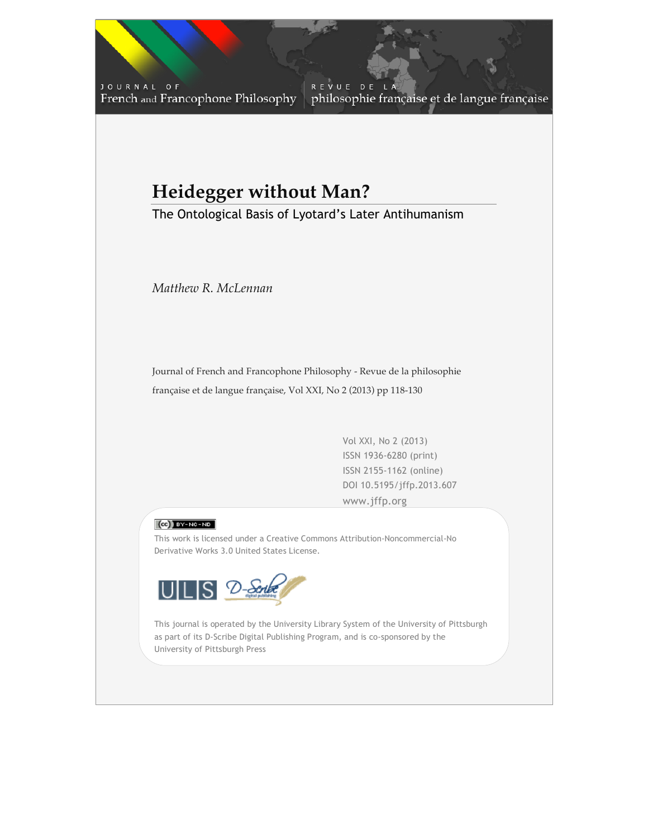JOURNAL OF French and Francophone Philosophy

REVUE DE philosophie française et de langue française

# **Heidegger without Man?**

The Ontological Basis of Lyotard's Later Antihumanism

*Matthew R. McLennan*

Journal of French and Francophone Philosophy - Revue de la philosophie française et de langue française, Vol XXI, No 2 (2013) pp 118-130

> Vol XXI, No 2 (2013) ISSN 1936-6280 (print) ISSN 2155-1162 (online) DOI 10.5195/jffp.2013.607 www.jffp.org

Vol XXI, No 2 (2013) | www.jffp.org | DOI 10.5195/jffp.2013.607



This work is licensed under a Creative Commons Attribution-Noncommercial-No Derivative Works 3.0 United States License.



University of Pittsburgh Press This journal is operated by the University Library System of the University of Pittsburgh as part of its D-Scribe Digital Publishing Program, and is co-sponsored by the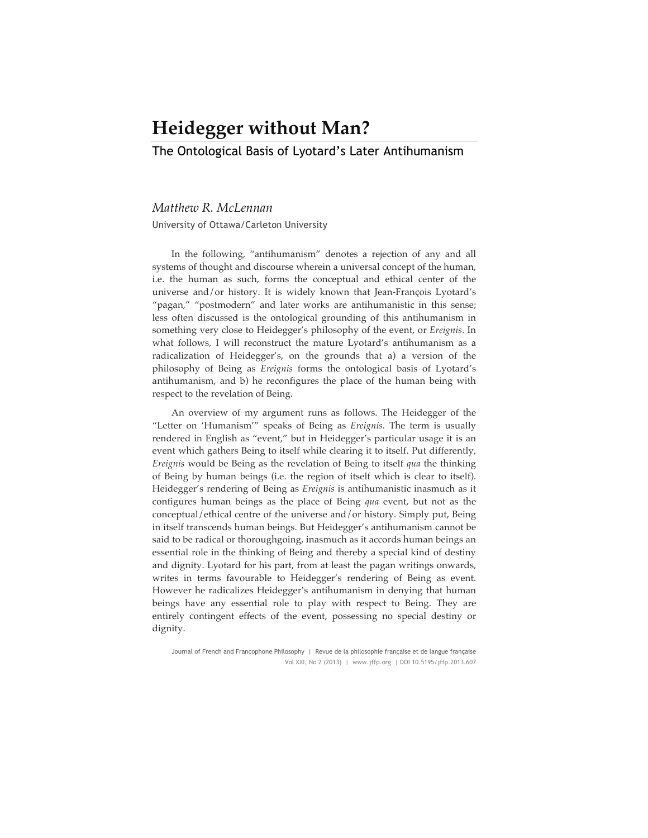## **Heidegger without Man?**

The Ontological Basis of Lyotard's Later Antihumanism

### *Matthew R. McLennan*

University of Ottawa/Carleton University

In the following, "antihumanism" denotes a rejection of any and all systems of thought and discourse wherein a universal concept of the human, i.e. the human as such, forms the conceptual and ethical center of the universe and/or history. It is widely known that Jean-François Lyotard's "pagan," "postmodern" and later works are antihumanistic in this sense; less often discussed is the ontological grounding of this antihumanism in something very close to Heidegger's philosophy of the event, or *Ereignis*. In what follows, I will reconstruct the mature Lyotard's antihumanism as a radicalization of Heidegger's, on the grounds that a) a version of the philosophy of Being as *Ereignis* forms the ontological basis of Lyotard's antihumanism, and b) he reconfigures the place of the human being with respect to the revelation of Being.

An overview of my argument runs as follows. The Heidegger of the "Letter on 'Humanism'" speaks of Being as *Ereignis*. The term is usually rendered in English as "event," but in Heidegger's particular usage it is an event which gathers Being to itself while clearing it to itself. Put differently, *Ereignis* would be Being as the revelation of Being to itself *qua* the thinking of Being by human beings (i.e. the region of itself which is clear to itself). Heidegger's rendering of Being as *Ereignis* is antihumanistic inasmuch as it configures human beings as the place of Being *qua* event, but not as the conceptual/ethical centre of the universe and/or history. Simply put, Being in itself transcends human beings. But Heidegger's antihumanism cannot be said to be radical or thoroughgoing, inasmuch as it accords human beings an essential role in the thinking of Being and thereby a special kind of destiny and dignity. Lyotard for his part, from at least the pagan writings onwards, writes in terms favourable to Heidegger's rendering of Being as event. However he radicalizes Heidegger's antihumanism in denying that human beings have any essential role to play with respect to Being. They are entirely contingent effects of the event, possessing no special destiny or dignity.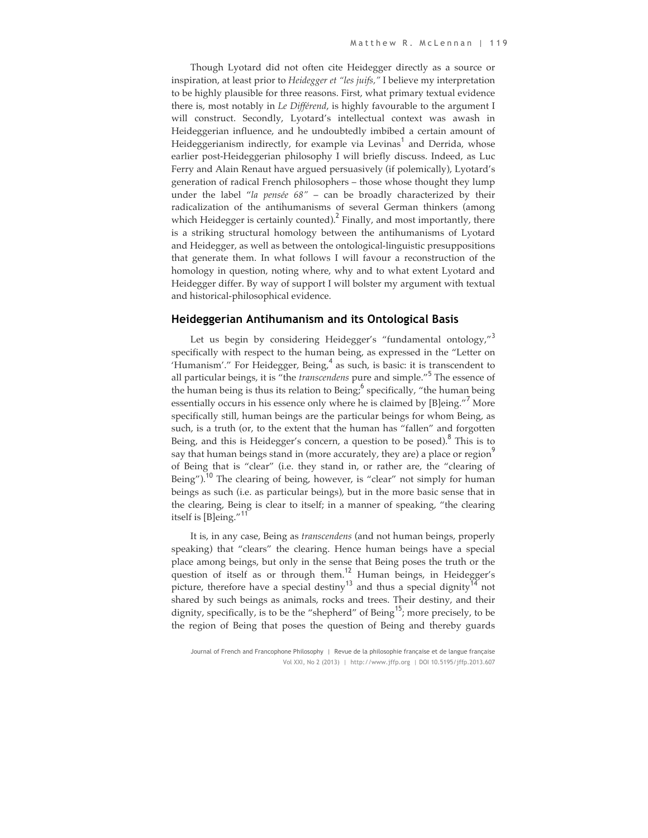Though Lyotard did not often cite Heidegger directly as a source or inspiration, at least prior to *Heidegger et "les juifs,"* I believe my interpretation to be highly plausible for three reasons. First, what primary textual evidence there is, most notably in *Le Différend*, is highly favourable to the argument I will construct. Secondly, Lyotard's intellectual context was awash in Heideggerian influence, and he undoubtedly imbibed a certain amount of Heideggerianism indirectly, for example via Levinas<sup>1</sup> and Derrida, whose earlier post-Heideggerian philosophy I will briefly discuss. Indeed, as Luc Ferry and Alain Renaut have argued persuasively (if polemically), Lyotard's generation of radical French philosophers – those whose thought they lump under the label "*la pensée 68"* – can be broadly characterized by their radicalization of the antihumanisms of several German thinkers (among which Heidegger is certainly counted). Finally, and most importantly, there is a striking structural homology between the antihumanisms of Lyotard and Heidegger, as well as between the ontological-linguistic presuppositions that generate them. In what follows I will favour a reconstruction of the homology in question, noting where, why and to what extent Lyotard and Heidegger differ. By way of support I will bolster my argument with textual and historical-philosophical evidence.

#### **Heideggerian Antihumanism and its Ontological Basis**

Let us begin by considering Heidegger's "fundamental ontology,"<sup>3</sup> specifically with respect to the human being, as expressed in the "Letter on 'Humanism'." For Heidegger, Being, $<sup>4</sup>$  as such, is basic: it is transcendent to</sup> all particular beings, it is "the *transcendens* pure and simple."<sup>5</sup> The essence of the human being is thus its relation to Being;  $^6$  specifically, "the human being essentially occurs in his essence only where he is claimed by [B]eing."<sup>7</sup> More specifically still, human beings are the particular beings for whom Being, as such, is a truth (or, to the extent that the human has "fallen" and forgotten Being, and this is Heidegger's concern, a question to be posed). $8$  This is to say that human beings stand in (more accurately, they are) a place or region<sup>9</sup> of Being that is "clear" (i.e. they stand in, or rather are, the "clearing of Being").<sup>10</sup> The clearing of being, however, is "clear" not simply for human beings as such (i.e. as particular beings), but in the more basic sense that in the clearing, Being is clear to itself; in a manner of speaking, "the clearing itself is [B]eing."<sup>11</sup>

It is, in any case, Being as *transcendens* (and not human beings, properly speaking) that "clears" the clearing. Hence human beings have a special place among beings, but only in the sense that Being poses the truth or the question of itself as or through them.<sup>12</sup> Human beings, in Heidegger's picture, therefore have a special destiny<sup>13</sup> and thus a special dignity<sup>14</sup> not shared by such beings as animals, rocks and trees. Their destiny, and their dignity, specifically, is to be the "shepherd" of Being<sup>15</sup>; more precisely, to be the region of Being that poses the question of Being and thereby guards

Journal of French and Francophone Philosophy | Revue de la philosophie française et de langue française Vol XXI, No 2 (2013) | http://www.jffp.org | DOI 10.5195/jffp.2013.607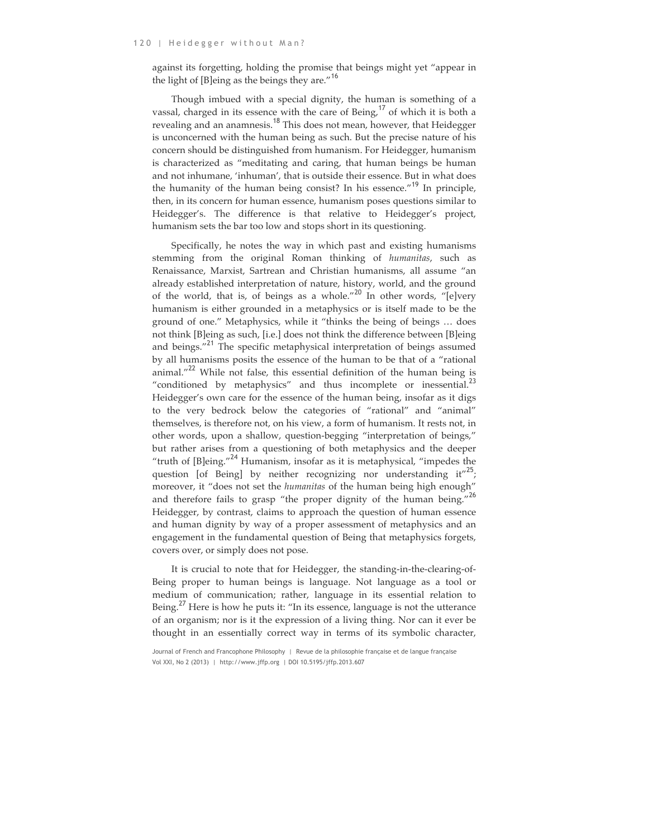against its forgetting, holding the promise that beings might yet "appear in the light of [B]eing as the beings they are."<sup>16</sup>

Though imbued with a special dignity, the human is something of a vassal, charged in its essence with the care of Being, $17$  of which it is both a revealing and an anamnesis.<sup>18</sup> This does not mean, however, that Heidegger is unconcerned with the human being as such. But the precise nature of his concern should be distinguished from humanism. For Heidegger, humanism is characterized as "meditating and caring, that human beings be human and not inhumane, 'inhuman', that is outside their essence. But in what does the humanity of the human being consist? In his essence."<sup>19</sup> In principle, then, in its concern for human essence, humanism poses questions similar to Heidegger's. The difference is that relative to Heidegger's project, humanism sets the bar too low and stops short in its questioning.

Specifically, he notes the way in which past and existing humanisms stemming from the original Roman thinking of *humanitas*, such as Renaissance, Marxist, Sartrean and Christian humanisms, all assume "an already established interpretation of nature, history, world, and the ground of the world, that is, of beings as a whole."<sup>20</sup> In other words, "[e]very humanism is either grounded in a metaphysics or is itself made to be the ground of one." Metaphysics, while it "thinks the being of beings … does not think [B]eing as such, [i.e.] does not think the difference between [B]eing and beings."<sup>21</sup> The specific metaphysical interpretation of beings assumed by all humanisms posits the essence of the human to be that of a "rational animal."<sup>22</sup> While not false, this essential definition of the human being is "conditioned by metaphysics" and thus incomplete or inessential.<sup>23</sup> Heidegger's own care for the essence of the human being, insofar as it digs to the very bedrock below the categories of "rational" and "animal" themselves, is therefore not, on his view, a form of humanism. It rests not, in other words, upon a shallow, question-begging "interpretation of beings," but rather arises from a questioning of both metaphysics and the deeper "truth of  $[B]eing."$ <sup>24</sup> Humanism, insofar as it is metaphysical, "impedes the question [of Being] by neither recognizing nor understanding it"<sup>25</sup>; moreover, it "does not set the *humanitas* of the human being high enough" and therefore fails to grasp "the proper dignity of the human being."<sup>26</sup> Heidegger, by contrast, claims to approach the question of human essence and human dignity by way of a proper assessment of metaphysics and an engagement in the fundamental question of Being that metaphysics forgets, covers over, or simply does not pose.

It is crucial to note that for Heidegger, the standing-in-the-clearing-of-Being proper to human beings is language. Not language as a tool or medium of communication; rather, language in its essential relation to Being.<sup>27</sup> Here is how he puts it: "In its essence, language is not the utterance of an organism; nor is it the expression of a living thing. Nor can it ever be thought in an essentially correct way in terms of its symbolic character,

Journal of French and Francophone Philosophy | Revue de la philosophie française et de langue française Vol XXI, No 2 (2013) | http://www.jffp.org | DOI 10.5195/jffp.2013.607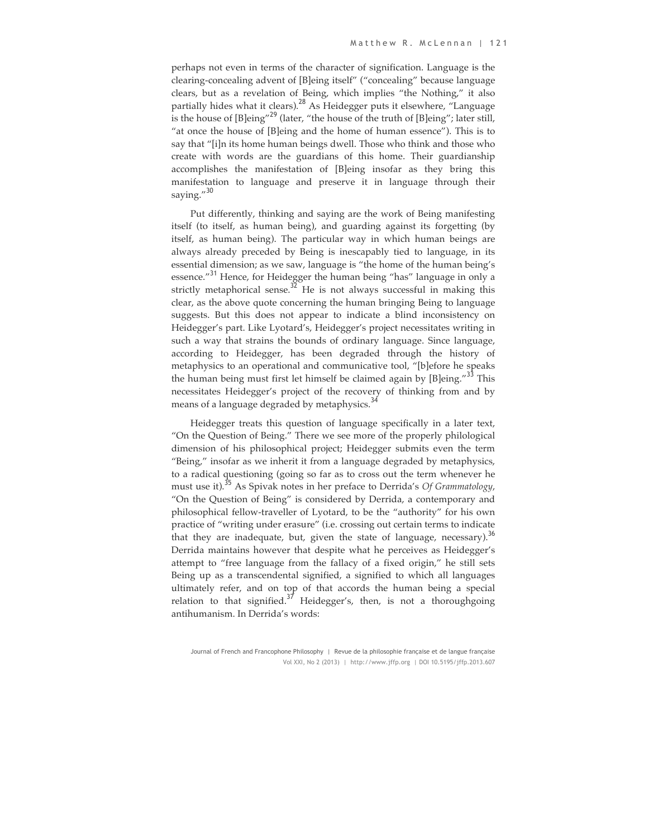perhaps not even in terms of the character of signification. Language is the clearing-concealing advent of [B]eing itself" ("concealing" because language clears, but as a revelation of Being, which implies "the Nothing," it also partially hides what it clears).<sup>28</sup> As Heidegger puts it elsewhere, "Language is the house of  $[B]eing''^{29}$  (later, "the house of the truth of  $[B]eing''$ ; later still, "at once the house of [B]eing and the home of human essence"). This is to say that "[i]n its home human beings dwell. Those who think and those who create with words are the guardians of this home. Their guardianship accomplishes the manifestation of [B]eing insofar as they bring this manifestation to language and preserve it in language through their saying."<sup>30</sup>

Put differently, thinking and saying are the work of Being manifesting itself (to itself, as human being), and guarding against its forgetting (by itself, as human being). The particular way in which human beings are always already preceded by Being is inescapably tied to language, in its essential dimension; as we saw, language is "the home of the human being's essence."<sup>31</sup> Hence, for Heidegger the human being "has" language in only a strictly metaphorical sense. $32$  He is not always successful in making this clear, as the above quote concerning the human bringing Being to language suggests. But this does not appear to indicate a blind inconsistency on Heidegger's part. Like Lyotard's, Heidegger's project necessitates writing in such a way that strains the bounds of ordinary language. Since language, according to Heidegger, has been degraded through the history of metaphysics to an operational and communicative tool, "[b]efore he speaks the human being must first let himself be claimed again by [B]eing."<sup>33</sup> This necessitates Heidegger's project of the recovery of thinking from and by means of a language degraded by metaphysics.<sup>34</sup>

Heidegger treats this question of language specifically in a later text, "On the Question of Being." There we see more of the properly philological dimension of his philosophical project; Heidegger submits even the term "Being," insofar as we inherit it from a language degraded by metaphysics, to a radical questioning (going so far as to cross out the term whenever he must use it).<sup>35</sup> As Spivak notes in her preface to Derrida's *Of Grammatology*, "On the Question of Being" is considered by Derrida, a contemporary and philosophical fellow-traveller of Lyotard, to be the "authority" for his own practice of "writing under erasure" (i.e. crossing out certain terms to indicate that they are inadequate, but, given the state of language, necessary).<sup>36</sup> Derrida maintains however that despite what he perceives as Heidegger's attempt to "free language from the fallacy of a fixed origin," he still sets Being up as a transcendental signified, a signified to which all languages ultimately refer, and on top of that accords the human being a special relation to that signified.<sup>37</sup> Heidegger's, then, is not a thoroughgoing antihumanism. In Derrida's words:

Journal of French and Francophone Philosophy | Revue de la philosophie française et de langue française Vol XXI, No 2 (2013) | http://www.jffp.org | DOI 10.5195/jffp.2013.607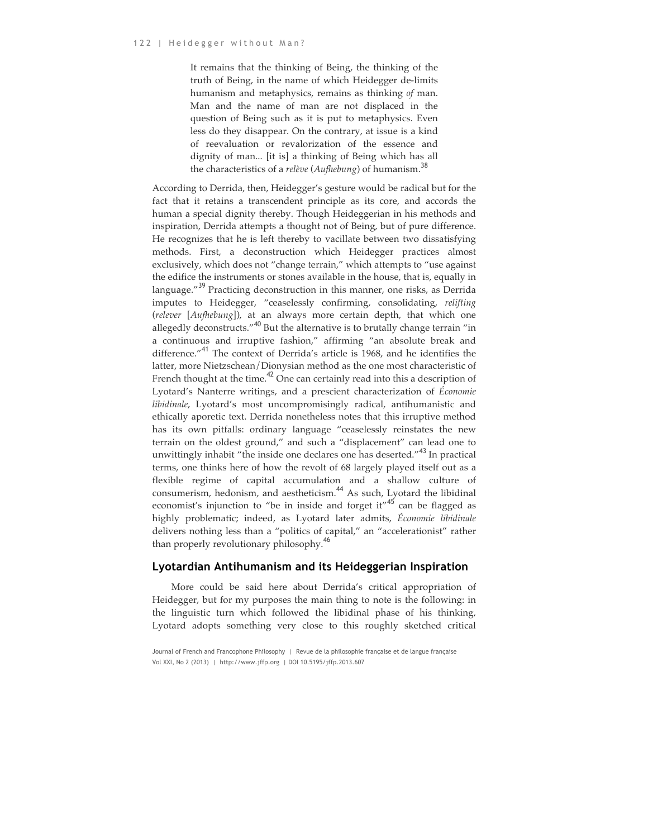It remains that the thinking of Being, the thinking of the truth of Being, in the name of which Heidegger de-limits humanism and metaphysics, remains as thinking *of* man. Man and the name of man are not displaced in the question of Being such as it is put to metaphysics. Even less do they disappear. On the contrary, at issue is a kind of reevaluation or revalorization of the essence and dignity of man... [it is] a thinking of Being which has all the characteristics of a *relève* (*Aufhebung*) of humanism.<sup>38</sup>

According to Derrida, then, Heidegger's gesture would be radical but for the fact that it retains a transcendent principle as its core, and accords the human a special dignity thereby. Though Heideggerian in his methods and inspiration, Derrida attempts a thought not of Being, but of pure difference. He recognizes that he is left thereby to vacillate between two dissatisfying methods. First, a deconstruction which Heidegger practices almost exclusively, which does not "change terrain," which attempts to "use against the edifice the instruments or stones available in the house, that is, equally in language."<sup>39</sup> Practicing deconstruction in this manner, one risks, as Derrida imputes to Heidegger, "ceaselessly confirming, consolidating, *relifting*  (*relever* [*Aufhebung*]), at an always more certain depth, that which one allegedly deconstructs."<sup>40</sup> But the alternative is to brutally change terrain "in a continuous and irruptive fashion," affirming "an absolute break and difference."<sup>41</sup> The context of Derrida's article is 1968, and he identifies the latter, more Nietzschean/Dionysian method as the one most characteristic of French thought at the time.<sup>42</sup> One can certainly read into this a description of Lyotard's Nanterre writings, and a prescient characterization of *Économie libidinale*, Lyotard's most uncompromisingly radical, antihumanistic and ethically aporetic text. Derrida nonetheless notes that this irruptive method has its own pitfalls: ordinary language "ceaselessly reinstates the new terrain on the oldest ground," and such a "displacement" can lead one to unwittingly inhabit "the inside one declares one has deserted."<sup>43</sup> In practical terms, one thinks here of how the revolt of 68 largely played itself out as a flexible regime of capital accumulation and a shallow culture of consumerism, hedonism, and aestheticism.<sup>44</sup> As such, Lyotard the libidinal economist's injunction to "be in inside and forget it"<sup>45</sup> can be flagged as highly problematic; indeed, as Lyotard later admits, *Économie libidinale*  delivers nothing less than a "politics of capital," an "accelerationist" rather than properly revolutionary philosophy.<sup>40</sup>

#### **Lyotardian Antihumanism and its Heideggerian Inspiration**

More could be said here about Derrida's critical appropriation of Heidegger, but for my purposes the main thing to note is the following: in the linguistic turn which followed the libidinal phase of his thinking, Lyotard adopts something very close to this roughly sketched critical

Journal of French and Francophone Philosophy | Revue de la philosophie française et de langue française Vol XXI, No 2 (2013) | http://www.jffp.org | DOI 10.5195/jffp.2013.607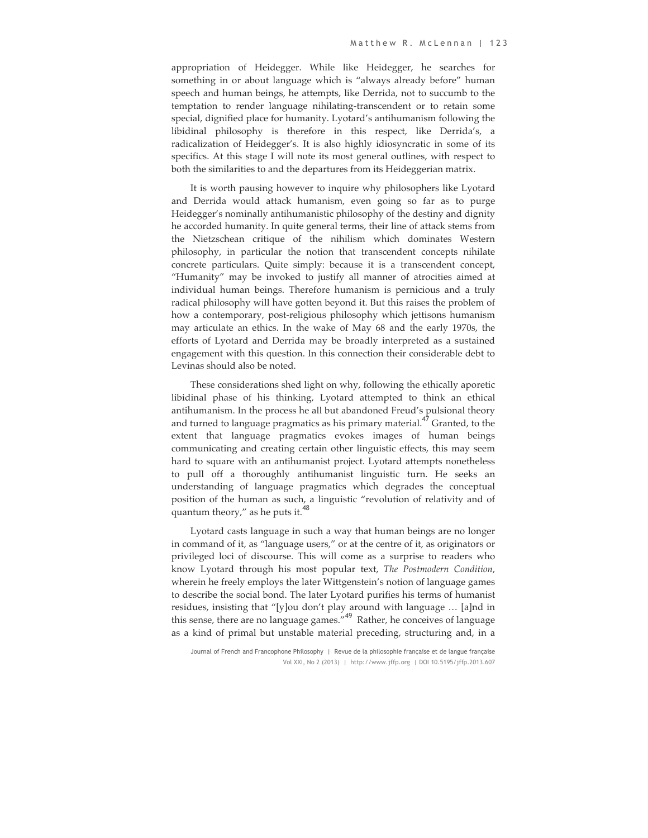appropriation of Heidegger. While like Heidegger, he searches for something in or about language which is "always already before" human speech and human beings, he attempts, like Derrida, not to succumb to the temptation to render language nihilating-transcendent or to retain some special, dignified place for humanity. Lyotard's antihumanism following the libidinal philosophy is therefore in this respect, like Derrida's, a radicalization of Heidegger's. It is also highly idiosyncratic in some of its specifics. At this stage I will note its most general outlines, with respect to both the similarities to and the departures from its Heideggerian matrix.

It is worth pausing however to inquire why philosophers like Lyotard and Derrida would attack humanism, even going so far as to purge Heidegger's nominally antihumanistic philosophy of the destiny and dignity he accorded humanity. In quite general terms, their line of attack stems from the Nietzschean critique of the nihilism which dominates Western philosophy, in particular the notion that transcendent concepts nihilate concrete particulars. Quite simply: because it is a transcendent concept, "Humanity" may be invoked to justify all manner of atrocities aimed at individual human beings. Therefore humanism is pernicious and a truly radical philosophy will have gotten beyond it. But this raises the problem of how a contemporary, post-religious philosophy which jettisons humanism may articulate an ethics. In the wake of May 68 and the early 1970s, the efforts of Lyotard and Derrida may be broadly interpreted as a sustained engagement with this question. In this connection their considerable debt to Levinas should also be noted.

These considerations shed light on why, following the ethically aporetic libidinal phase of his thinking, Lyotard attempted to think an ethical antihumanism. In the process he all but abandoned Freud's pulsional theory and turned to language pragmatics as his primary material.<sup>47</sup> Granted, to the extent that language pragmatics evokes images of human beings communicating and creating certain other linguistic effects, this may seem hard to square with an antihumanist project. Lyotard attempts nonetheless to pull off a thoroughly antihumanist linguistic turn. He seeks an understanding of language pragmatics which degrades the conceptual position of the human as such, a linguistic "revolution of relativity and of quantum theory," as he puts it. $48$ 

Lyotard casts language in such a way that human beings are no longer in command of it, as "language users," or at the centre of it, as originators or privileged loci of discourse. This will come as a surprise to readers who know Lyotard through his most popular text, *The Postmodern Condition*, wherein he freely employs the later Wittgenstein's notion of language games to describe the social bond. The later Lyotard purifies his terms of humanist residues, insisting that "[y]ou don't play around with language … [a]nd in this sense, there are no language games."49 Rather, he conceives of language as a kind of primal but unstable material preceding, structuring and, in a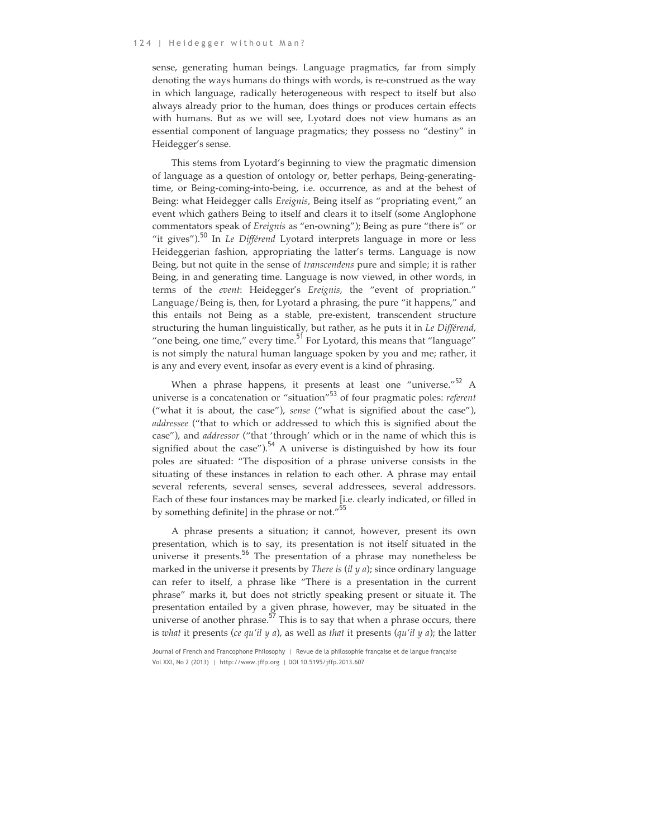sense, generating human beings. Language pragmatics, far from simply denoting the ways humans do things with words, is re-construed as the way in which language, radically heterogeneous with respect to itself but also always already prior to the human, does things or produces certain effects with humans. But as we will see, Lyotard does not view humans as an essential component of language pragmatics; they possess no "destiny" in Heidegger's sense.

This stems from Lyotard's beginning to view the pragmatic dimension of language as a question of ontology or, better perhaps, Being-generatingtime, or Being-coming-into-being, i.e. occurrence, as and at the behest of Being: what Heidegger calls *Ereignis*, Being itself as "propriating event," an event which gathers Being to itself and clears it to itself (some Anglophone commentators speak of *Ereignis* as "en-owning"); Being as pure "there is" or "it gives").<sup>50</sup> In *Le Différend* Lyotard interprets language in more or less Heideggerian fashion, appropriating the latter's terms. Language is now Being, but not quite in the sense of *transcendens* pure and simple; it is rather Being, in and generating time. Language is now viewed, in other words, in terms of the *event*: Heidegger's *Ereignis*, the "event of propriation." Language/Being is, then, for Lyotard a phrasing, the pure "it happens," and this entails not Being as a stable, pre-existent, transcendent structure structuring the human linguistically, but rather, as he puts it in *Le Différend*, "one being, one time," every time.<sup>51</sup> For Lyotard, this means that "language" is not simply the natural human language spoken by you and me; rather, it is any and every event, insofar as every event is a kind of phrasing.

When a phrase happens, it presents at least one "universe."<sup>52</sup> A universe is a concatenation or "situation"<sup>53</sup> of four pragmatic poles: *referent* ("what it is about, the case"), *sense* ("what is signified about the case"), *addressee* ("that to which or addressed to which this is signified about the case"), and *addressor* ("that 'through' which or in the name of which this is signified about the case").<sup>54</sup> A universe is distinguished by how its four poles are situated: "The disposition of a phrase universe consists in the situating of these instances in relation to each other. A phrase may entail several referents, several senses, several addressees, several addressors. Each of these four instances may be marked [i.e. clearly indicated, or filled in by something definite] in the phrase or not."<sup>55</sup>

A phrase presents a situation; it cannot, however, present its own presentation, which is to say, its presentation is not itself situated in the universe it presents.<sup>56</sup> The presentation of a phrase may nonetheless be marked in the universe it presents by *There is* (*il y a*); since ordinary language can refer to itself, a phrase like "There is a presentation in the current phrase" marks it, but does not strictly speaking present or situate it. The presentation entailed by a given phrase, however, may be situated in the universe of another phrase.<sup>57</sup> This is to say that when a phrase occurs, there is *what* it presents (*ce qu'il y a*), as well as *that* it presents (*qu'il y a*); the latter

Journal of French and Francophone Philosophy | Revue de la philosophie française et de langue française Vol XXI, No 2 (2013) | http://www.jffp.org | DOI 10.5195/jffp.2013.607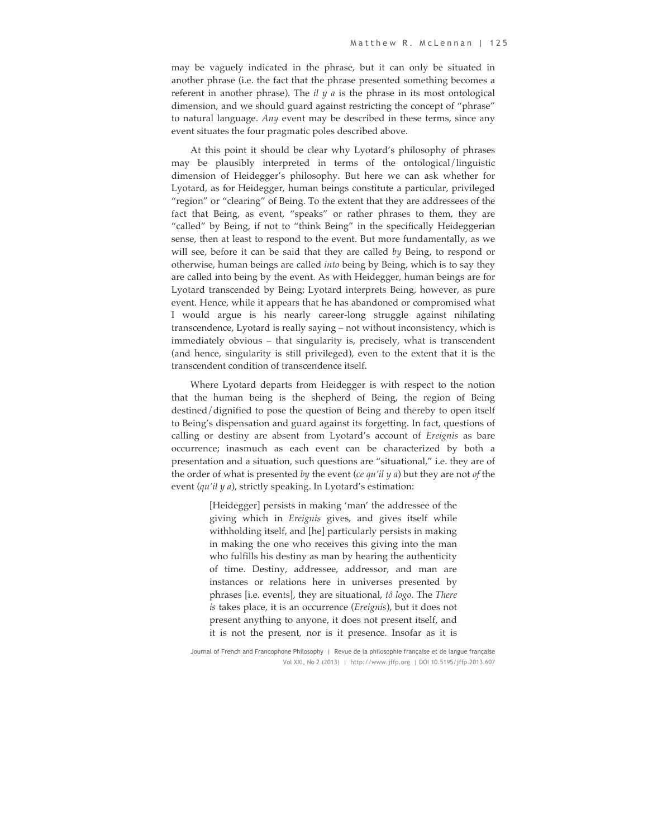may be vaguely indicated in the phrase, but it can only be situated in another phrase (i.e. the fact that the phrase presented something becomes a referent in another phrase). The *il y a* is the phrase in its most ontological dimension, and we should guard against restricting the concept of "phrase" to natural language. *Any* event may be described in these terms, since any event situates the four pragmatic poles described above.

At this point it should be clear why Lyotard's philosophy of phrases may be plausibly interpreted in terms of the ontological/linguistic dimension of Heidegger's philosophy. But here we can ask whether for Lyotard, as for Heidegger, human beings constitute a particular, privileged "region" or "clearing" of Being. To the extent that they are addressees of the fact that Being, as event, "speaks" or rather phrases to them, they are "called" by Being, if not to "think Being" in the specifically Heideggerian sense, then at least to respond to the event. But more fundamentally, as we will see, before it can be said that they are called *by* Being, to respond or otherwise, human beings are called *into* being by Being, which is to say they are called into being by the event. As with Heidegger, human beings are for Lyotard transcended by Being; Lyotard interprets Being, however, as pure event. Hence, while it appears that he has abandoned or compromised what I would argue is his nearly career-long struggle against nihilating transcendence, Lyotard is really saying – not without inconsistency, which is immediately obvious – that singularity is, precisely, what is transcendent (and hence, singularity is still privileged), even to the extent that it is the transcendent condition of transcendence itself.

Where Lyotard departs from Heidegger is with respect to the notion that the human being is the shepherd of Being, the region of Being destined/dignified to pose the question of Being and thereby to open itself to Being's dispensation and guard against its forgetting. In fact, questions of calling or destiny are absent from Lyotard's account of *Ereignis* as bare occurrence; inasmuch as each event can be characterized by both a presentation and a situation, such questions are "situational," i.e. they are of the order of what is presented *by* the event (*ce qu'il y a*) but they are not *of* the event (*qu'il y a*), strictly speaking. In Lyotard's estimation:

> [Heidegger] persists in making 'man' the addressee of the giving which in *Ereignis* gives, and gives itself while withholding itself, and [he] particularly persists in making in making the one who receives this giving into the man who fulfills his destiny as man by hearing the authenticity of time. Destiny, addressee, addressor, and man are instances or relations here in universes presented by phrases [i.e. events], they are situational, *tô logo*. The *There is* takes place, it is an occurrence (*Ereignis*), but it does not present anything to anyone, it does not present itself, and it is not the present, nor is it presence. Insofar as it is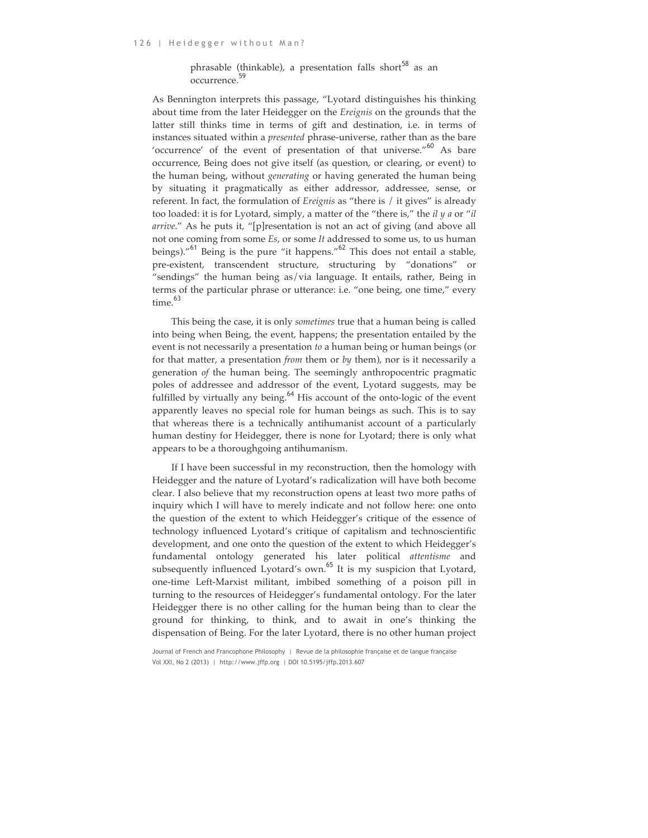#### phrasable (thinkable), a presentation falls short<sup>58</sup> as an occurrence.<sup>59</sup>

As Bennington interprets this passage, "Lyotard distinguishes his thinking about time from the later Heidegger on the *Ereignis* on the grounds that the latter still thinks time in terms of gift and destination, i.e. in terms of instances situated within a *presented* phrase-universe, rather than as the bare 'occurrence' of the event of presentation of that universe."<sup>60</sup> As bare occurrence, Being does not give itself (as question, or clearing, or event) to the human being, without *generating* or having generated the human being by situating it pragmatically as either addressor, addressee, sense, or referent. In fact, the formulation of *Ereignis* as "there is / it gives" is already too loaded: it is for Lyotard, simply, a matter of the "there is," the *il y a* or "*il arrive*." As he puts it, "[p]resentation is not an act of giving (and above all not one coming from some *Es*, or some *It* addressed to some us, to us human beings)."<sup>61</sup> Being is the pure "it happens."<sup>62</sup> This does not entail a stable, pre-existent, transcendent structure, structuring by "donations" or "sendings" the human being as/via language. It entails, rather, Being in terms of the particular phrase or utterance: i.e. "one being, one time," every time. 63

This being the case, it is only *sometimes* true that a human being is called into being when Being, the event, happens; the presentation entailed by the event is not necessarily a presentation *to* a human being or human beings (or for that matter, a presentation *from* them or *by* them), nor is it necessarily a generation *of* the human being. The seemingly anthropocentric pragmatic poles of addressee and addressor of the event, Lyotard suggests, may be fulfilled by virtually any being. $64$  His account of the onto-logic of the event apparently leaves no special role for human beings as such. This is to say that whereas there is a technically antihumanist account of a particularly human destiny for Heidegger, there is none for Lyotard; there is only what appears to be a thoroughgoing antihumanism.

If I have been successful in my reconstruction, then the homology with Heidegger and the nature of Lyotard's radicalization will have both become clear. I also believe that my reconstruction opens at least two more paths of inquiry which I will have to merely indicate and not follow here: one onto the question of the extent to which Heidegger's critique of the essence of technology influenced Lyotard's critique of capitalism and technoscientific development, and one onto the question of the extent to which Heidegger's fundamental ontology generated his later political *attentisme* and subsequently influenced Lyotard's own.<sup>65</sup> It is my suspicion that Lyotard, one-time Left-Marxist militant, imbibed something of a poison pill in turning to the resources of Heidegger's fundamental ontology. For the later Heidegger there is no other calling for the human being than to clear the ground for thinking, to think, and to await in one's thinking the dispensation of Being. For the later Lyotard, there is no other human project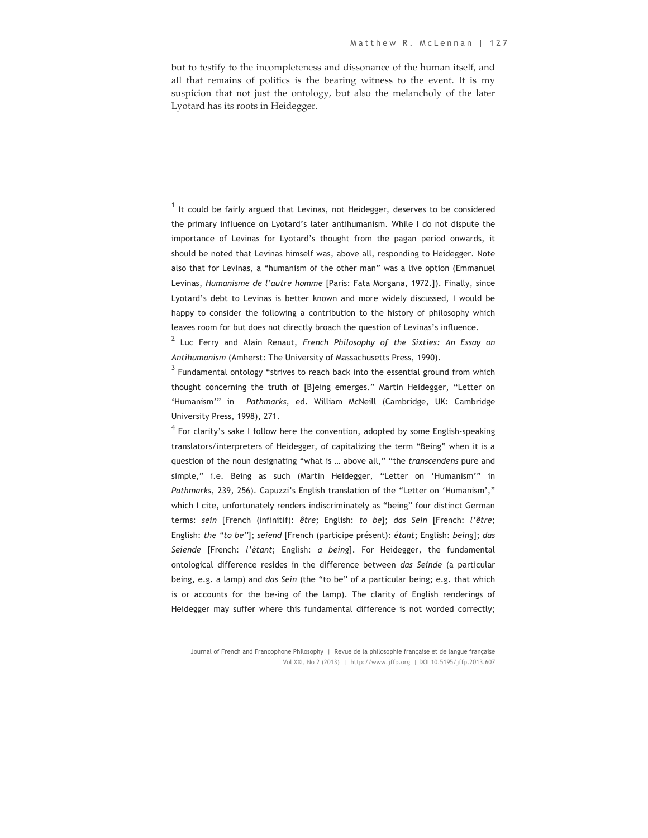but to testify to the incompleteness and dissonance of the human itself, and all that remains of politics is the bearing witness to the event. It is my suspicion that not just the ontology, but also the melancholy of the later Lyotard has its roots in Heidegger.

 $\overline{a}$ 

 $<sup>1</sup>$  It could be fairly argued that Levinas, not Heidegger, deserves to be considered</sup> the primary influence on Lyotard's later antihumanism. While I do not dispute the importance of Levinas for Lyotard's thought from the pagan period onwards, it should be noted that Levinas himself was, above all, responding to Heidegger. Note also that for Levinas, a "humanism of the other man" was a live option (Emmanuel Levinas, *Humanisme de l'autre homme* [Paris: Fata Morgana, 1972.]). Finally, since Lyotard's debt to Levinas is better known and more widely discussed, I would be happy to consider the following a contribution to the history of philosophy which leaves room for but does not directly broach the question of Levinas's influence.

<sup>2</sup> Luc Ferry and Alain Renaut, *French Philosophy of the Sixties: An Essay on Antihumanism* (Amherst: The University of Massachusetts Press, 1990).

 $3$  Fundamental ontology "strives to reach back into the essential ground from which thought concerning the truth of [B]eing emerges." Martin Heidegger, "Letter on 'Humanism'" in *Pathmarks*, ed. William McNeill (Cambridge, UK: Cambridge University Press, 1998), 271.

 $4$  For clarity's sake I follow here the convention, adopted by some English-speaking translators/interpreters of Heidegger, of capitalizing the term "Being" when it is a question of the noun designating "what is … above all," "the *transcendens* pure and simple," i.e. Being as such (Martin Heidegger, "Letter on 'Humanism'" in *Pathmarks*, 239, 256). Capuzzi's English translation of the "Letter on 'Humanism'," which I cite, unfortunately renders indiscriminately as "being" four distinct German terms: *sein* [French (infinitif): *être*; English: *to be*]; *das Sein* [French: *l'être*; English: *the "to be"*]; *seiend* [French (participe présent): *étant*; English: *being*]; *das Seiende* [French: *l'étant*; English: *a being*]. For Heidegger, the fundamental ontological difference resides in the difference between *das Seinde* (a particular being, e.g. a lamp) and *das Sein* (the "to be" of a particular being; e.g. that which is or accounts for the be-ing of the lamp). The clarity of English renderings of Heidegger may suffer where this fundamental difference is not worded correctly;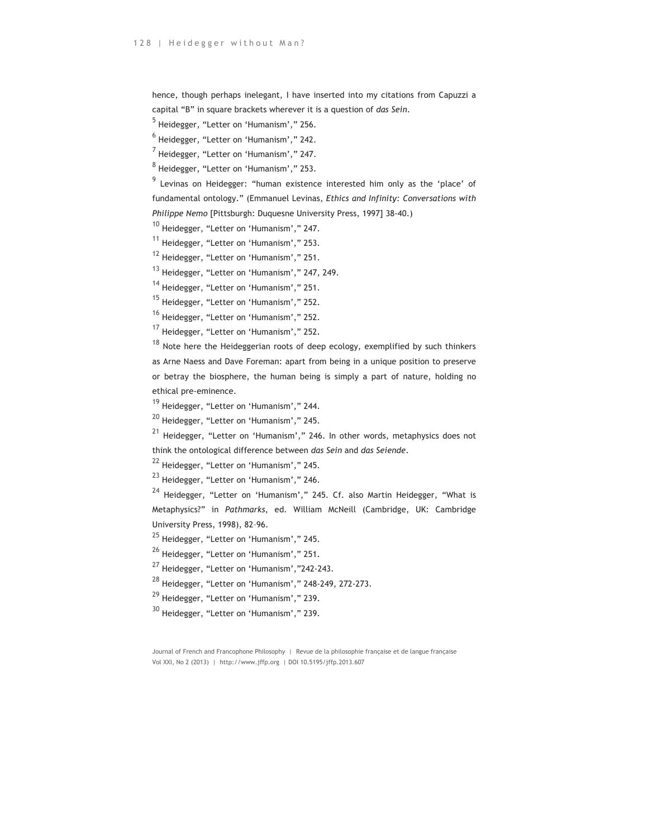hence, though perhaps inelegant, I have inserted into my citations from Capuzzi a capital "B" in square brackets wherever it is a question of *das Sein*.

 $<sup>5</sup>$  Heidegger, "Letter on 'Humanism'," 256.</sup>

 $<sup>6</sup>$  Heidegger, "Letter on 'Humanism'," 242.</sup>

 $<sup>7</sup>$  Heidegger, "Letter on 'Humanism'," 247.</sup>

 $8$  Heidegger, "Letter on 'Humanism'," 253.

<sup>9</sup> Levinas on Heidegger: "human existence interested him only as the 'place' of fundamental ontology." (Emmanuel Levinas, *Ethics and Infinity: Conversations with Philippe Nemo* [Pittsburgh: Duquesne University Press, 1997] 38-40.)

<sup>10</sup> Heidegger, "Letter on 'Humanism'," 247.

<sup>11</sup> Heidegger, "Letter on 'Humanism'," 253.

<sup>12</sup> Heidegger, "Letter on 'Humanism'," 251.

<sup>13</sup> Heidegger, "Letter on 'Humanism'," 247, 249.

<sup>14</sup> Heidegger, "Letter on 'Humanism'," 251.

<sup>15</sup> Heidegger, "Letter on 'Humanism'," 252.

<sup>16</sup> Heidegger, "Letter on 'Humanism'," 252.

<sup>17</sup> Heidegger, "Letter on 'Humanism'," 252.

 $18$  Note here the Heideggerian roots of deep ecology, exemplified by such thinkers as Arne Naess and Dave Foreman: apart from being in a unique position to preserve or betray the biosphere, the human being is simply a part of nature, holding no ethical pre-eminence.

<sup>19</sup> Heidegger, "Letter on 'Humanism'," 244.

<sup>20</sup> Heidegger, "Letter on 'Humanism'," 245.

 $21$  Heidegger, "Letter on 'Humanism'," 246. In other words, metaphysics does not think the ontological difference between *das Sein* and *das Seiende*.

<sup>22</sup> Heidegger, "Letter on 'Humanism'," 245.

<sup>23</sup> Heidegger, "Letter on 'Humanism'," 246.

<sup>24</sup> Heidegger, "Letter on 'Humanism'," 245. Cf. also Martin Heidegger, "What is Metaphysics?" in *Pathmarks*, ed. William McNeill (Cambridge, UK: Cambridge University Press, 1998), 82–96.

<sup>25</sup> Heidegger, "Letter on 'Humanism'," 245.

<sup>26</sup> Heidegger, "Letter on 'Humanism'," 251.

 $27$  Heidegger, "Letter on 'Humanism',"242-243.

<sup>28</sup> Heidegger, "Letter on 'Humanism'," 248-249, 272-273.

<sup>29</sup> Heidegger, "Letter on 'Humanism'," 239.

<sup>30</sup> Heidegger, "Letter on 'Humanism'," 239.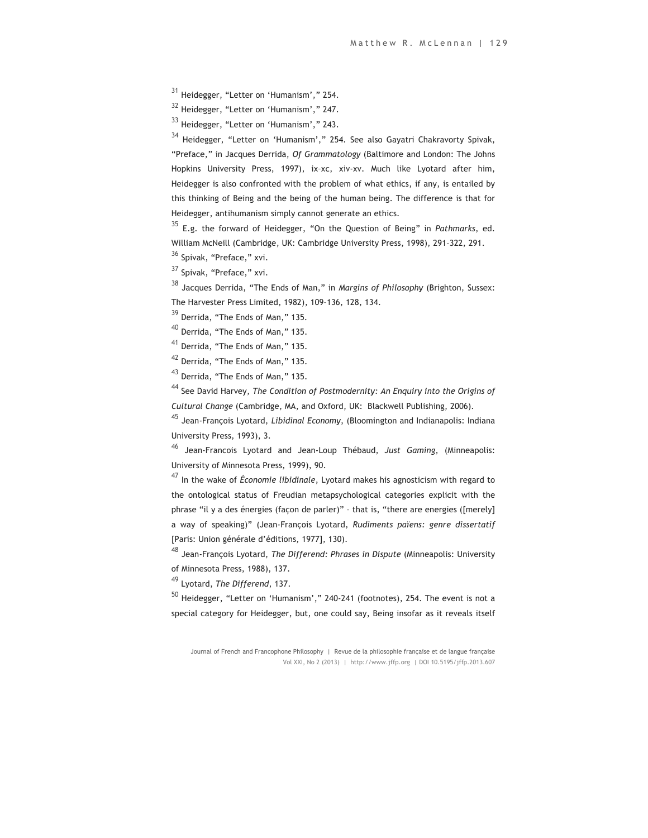<sup>31</sup> Heidegger, "Letter on 'Humanism'," 254.

<sup>32</sup> Heidegger, "Letter on 'Humanism'," 247.

<sup>33</sup> Heidegger, "Letter on 'Humanism'," 243.

<sup>34</sup> Heidegger, "Letter on 'Humanism'," 254. See also Gayatri Chakravorty Spivak, "Preface," in Jacques Derrida, *Of Grammatology* (Baltimore and London: The Johns Hopkins University Press, 1997), ix–xc, xiv-xv. Much like Lyotard after him, Heidegger is also confronted with the problem of what ethics, if any, is entailed by this thinking of Being and the being of the human being. The difference is that for Heidegger, antihumanism simply cannot generate an ethics.

<sup>35</sup> E.g. the forward of Heidegger, "On the Question of Being" in *Pathmarks*, ed. William McNeill (Cambridge, UK: Cambridge University Press, 1998), 291–322, 291.

<sup>36</sup> Spivak, "Preface," xvi.

<sup>37</sup> Spivak, "Preface," xvi.

<sup>38</sup> Jacques Derrida, "The Ends of Man," in *Margins of Philosophy* (Brighton, Sussex: The Harvester Press Limited, 1982), 109–136, 128, 134.

39 Derrida, "The Ends of Man," 135.

<sup>40</sup> Derrida, "The Ends of Man," 135.

<sup>41</sup> Derrida, "The Ends of Man," 135.

<sup>42</sup> Derrida, "The Ends of Man," 135.

<sup>43</sup> Derrida, "The Ends of Man," 135.

<sup>44</sup> See David Harvey, *The Condition of Postmodernity: An Enquiry into the Origins of Cultural Change* (Cambridge, MA, and Oxford, UK: Blackwell Publishing, 2006).

<sup>45</sup> Jean-François Lyotard, *Libidinal Economy*, (Bloomington and Indianapolis: Indiana University Press, 1993), 3.

<sup>46</sup> Jean-Francois Lyotard and Jean-Loup Thébaud, *Just Gaming*, (Minneapolis: University of Minnesota Press, 1999), 90.

<sup>47</sup> In the wake of *Économie libidinale*, Lyotard makes his agnosticism with regard to the ontological status of Freudian metapsychological categories explicit with the phrase "il y a des énergies (façon de parler)" – that is, "there are energies ([merely] a way of speaking)" (Jean-François Lyotard, *Rudiments païens: genre dissertatif* [Paris: Union générale d'éditions, 1977], 130).

<sup>48</sup> Jean-François Lyotard, *The Differend: Phrases in Dispute* (Minneapolis: University of Minnesota Press, 1988), 137.

<sup>49</sup> Lyotard, *The Differend*, 137.

 $50$  Heidegger, "Letter on 'Humanism'," 240-241 (footnotes), 254. The event is not a special category for Heidegger, but, one could say, Being insofar as it reveals itself